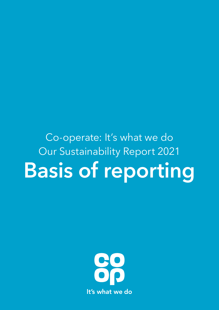

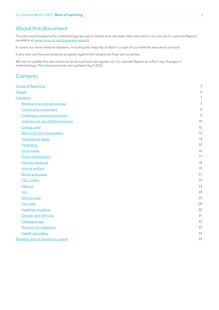# <span id="page-1-0"></span>About this document

This document explains the methodology we use to collect and calculate data reported in our annual Co-operate Report (available at [www.coop.co.uk/cooperate-report\)](http://www.coop.co.uk/cooperate-report).

It covers our most material datasets, including the majority of data in scope of our external assurance process.

It also sets out how we measure progress against the targets we have set ourselves.

We aim to update this document on an annual basis alongside our Co-operate Report to reflect any changes in methodology. This document was last updated April 2022.

# **Contents**

| <b>Scope of Reporting</b>            |    |
|--------------------------------------|----|
| <b>Targets</b>                       | 4  |
| <b>Indicators</b>                    | 7  |
| Membership and democracy             | 7  |
| <b>Community investment</b>          | 8  |
| Colleague community activity         | 9  |
| Greenhouse gas (GHG) emissions       | 10 |
| <b>Energy used</b>                   | 12 |
| <b>Electricity from renewables</b>   | 13 |
| Operational waste                    | 14 |
| Packaging                            | 15 |
| Food waste                           | 16 |
| Food redistributed                   | 17 |
| <b>Fish and Seafood</b>              | 18 |
| <b>Animal welfare</b>                | 19 |
| <b>Wood and paper</b>                | 21 |
| <b>FSC Coffins</b>                   | 22 |
| Palm oil                             | 23 |
| Soy                                  | 24 |
| <b>Ethical trade</b>                 | 25 |
| <b>Fairtrade</b>                     | 28 |
| <b>Healthier products</b>            | 30 |
| <b>Gender and Ethnicity</b>          | 31 |
| Colleague age                        | 32 |
| Number of colleagues                 | 33 |
| <b>Health and safety</b>             | 34 |
| Restating and re-baselining criteria | 35 |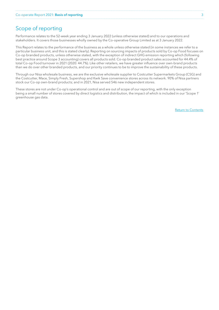# <span id="page-2-0"></span>Scope of reporting

Performance relates to the 52-week year ending 3 January 2022 (unless otherwise stated) and to our operations and stakeholders. It covers those businesses wholly owned by the Co-operative Group Limited as at 3 January 2022.

This Report relates to the performance of the business as a whole unless otherwise stated (in some instances we refer to a particular business unit, and this is stated clearly). Reporting on sourcing impacts of products sold by Co-op Food focuses on Co-op branded products, unless otherwise stated, with the exception of indirect GHG emission reporting which (following best practice around Scope 3 accounting) covers all products sold. Co-op branded product sales accounted for 44.4% of total Co-op Food turnover in 2021 (2020: 44.7%). Like other retailers, we have greater influence over own-brand products than we do over other branded products, and our priority continues to be to improve the sustainability of these products.

Through our Nisa wholesale business, we are the exclusive wholesale supplier to Costcutter Supermarkets Group (CSG) and the Costcutter, Mace, Simply Fresh, Supershop and Kwik Save convenience stores across its network. 90% of Nisa partners stock our Co-op own-brand products; and in 2021, Nisa served 546 new independent stores.

These stores are not under Co-op's operational control and are out of scope of our reporting, with the only exception being a small number of stores covered by direct logistics and distribution, the impact of which is included in our 'Scope 1' greenhouse gas data.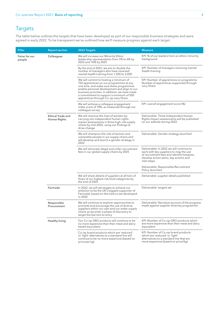# <span id="page-3-0"></span>Targets

The table below outlines the targets that have been developed as part of our responsible business strategies and were agreed in early 2022. To be transparent we've outlined how we'll measure progress against each target.

| Pillar                   | <b>Report section</b>             | 2022 Targets                                                                                                                                                                                                                                                                                                          | <b>Measure</b>                                                                                                                                                                           |
|--------------------------|-----------------------------------|-----------------------------------------------------------------------------------------------------------------------------------------------------------------------------------------------------------------------------------------------------------------------------------------------------------------------|------------------------------------------------------------------------------------------------------------------------------------------------------------------------------------------|
| Fairer for our<br>people | Colleagues                        | We will increase our Minority Ethnic<br>leadership representation from 3% to 6% by<br>2022 and 10% by 2025                                                                                                                                                                                                            | KPI: % of our leaders from an ethnic minority<br>background                                                                                                                              |
|                          |                                   | By the end of 2022, we aim to double the<br>number of managers who have received<br>mental health training from 1,500 to 3,000                                                                                                                                                                                        | KPI: Number of managers receiving mental<br>health training                                                                                                                              |
|                          |                                   | We will commit to hosting a minimum of<br>750 apprentices on our programmes at any<br>one time, and make sure these programmes<br>enable personal development and align to our<br>business priorities. In addition, we have made<br>a commitment to support a minimum of 500<br>apprentices through Co-op Levy Share. | KPI: Number of apprentices on programme<br>Number of apprentices supported through<br>Levy Share                                                                                         |
|                          |                                   | We will achieve a colleague engagement<br>index score of 74%, as measured through our<br>colleague survey                                                                                                                                                                                                             | KPI: overall engagement score (%)                                                                                                                                                        |
|                          | Ethical Trade and<br>Human Rights | We will improve the lives of workers by<br>carrying out independent human rights<br>impact assessments in three high-risk supply<br>chains by mid-2022, using our findings to<br>drive change                                                                                                                         | Deliverable: Three Independent Human<br>Rights Impact assessments will be published<br>on our website during 2022.                                                                       |
|                          |                                   | We will champion the role of women and<br>vulnerable people in our supply chains and<br>will develop and launch a gender strategy in<br>2022                                                                                                                                                                          | Deliverable: Gender strategy launched                                                                                                                                                    |
|                          |                                   | We will eliminate illegal and unfair recruitment<br>fees in our global supply chains by 2025                                                                                                                                                                                                                          | Deliverable: In 2022 we will continue to<br>work with key suppliers to map the use<br>of recruitment fees and identify hotspots,<br>develop action plans, key actions and<br>next steps. |
|                          |                                   |                                                                                                                                                                                                                                                                                                                       | Deliverable: Responsible Recruitment<br>Policy launched                                                                                                                                  |
|                          |                                   | We will share details of suppliers at all tiers of<br>three of our highest-risk food categories by<br>the end of 2022                                                                                                                                                                                                 | Deliverable: supplier details published                                                                                                                                                  |
|                          | Fairtrade                         | In 2022, we will set targets to achieve our<br>ambition to be the UK's biggest supporter of<br>Fairtrade, based on the metrics we developed<br>in 2020                                                                                                                                                                | Deliverable: targets set                                                                                                                                                                 |
|                          | Responsible<br>Procurement        | We will continue to explore opportunities to<br>promote and encourage the use of diverse<br>suppliers within our own and our wider supply<br>chains as we enter a phase of discovery to<br>target the barriers to entry                                                                                               | Deliverable: Narrative account of the progress<br>made against supplier diversity programme                                                                                              |
|                          | <b>Healthy living</b>             | Our Co-op GRO products will continue to be<br>no more expensive than their meat and dairy-<br>based equivalent                                                                                                                                                                                                        | KPI: Number of Co-op GRO products which<br>are more expensive than their meat and dairy<br>equivalent                                                                                    |
|                          |                                   | Co-op brand products which are 'reduced'<br>or 'light' alternatives to a standard line will<br>continue to be no more expensive (based on<br>price per kg)                                                                                                                                                            | KPI: Number of Co-op brand products<br>which are 'reduced' or 'light'<br>alternatives to a standard line that are<br>more expensive (based on price/kg)                                  |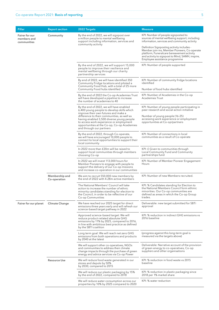| Pillar                                       | <b>Report section</b>          | 2022 Targets                                                                                                                                                                                                   | <b>Measure</b>                                                                                                                                                                                                                |
|----------------------------------------------|--------------------------------|----------------------------------------------------------------------------------------------------------------------------------------------------------------------------------------------------------------|-------------------------------------------------------------------------------------------------------------------------------------------------------------------------------------------------------------------------------|
| Fairer for our<br>members and<br>communities | Community                      | By the end of 2022, we will signpost over<br>a million people to mental wellbeing<br>support including information, services and<br>community activity                                                         | KPI: Number of people signposted to<br>sources of mental wellbeing support, including<br>information, services and community activity                                                                                         |
|                                              |                                |                                                                                                                                                                                                                | Definition Signposting activity includes -<br>Member join-ins, Member Pioneers, Co-operate<br>platform, Funeralcare bereavement activity<br>and activity to signpost to Mind, SAMH, inspire,<br>Employee assistance programme |
|                                              |                                | By the end of 2022, we will support 15,000<br>people to improve their resilience and<br>mental wellbeing through our charity<br>partnership services                                                           | KPI: Number of people supported                                                                                                                                                                                               |
|                                              |                                | By end of 2022, we will have identified 350<br>Community Fridge locations and piloted a<br>Community Food Hub, with a total of 25 more<br>Community Food hubs identified                                       | KPI: Number of community fridge locations<br>identified<br>Number of food hubs identified                                                                                                                                     |
|                                              |                                | By the end of 2022 the Co-op Academies Trust<br>will have developed a pipeline to increase<br>the number of academies to 40                                                                                    | KPI: Number of Academies in the Co-op<br>Academies Trust                                                                                                                                                                      |
|                                              |                                | By the end of 2022, we will have enabled<br>6,400 young people to develop skills which<br>improve their own futures and make a                                                                                 | KPI: Number of young people participating in<br>peer research and social action initiative                                                                                                                                    |
|                                              |                                | difference to their communities, as well as<br>having enabled 3,500 diverse young people<br>to access work experience or employment<br>opportunities at the Co-op, Co-op Academies<br>and through our partners | Number of young people (16-25)<br>accessing work experience or employment<br>opportunities at Co-op/partners                                                                                                                  |
|                                              |                                | By the end of 2022, through Co-operate,<br>we will have encouraged 10,000 people to<br>connect to local opportunities to support their<br>local community                                                      | KPI: Number of connections in local<br>communities as a result of Co-operate                                                                                                                                                  |
|                                              |                                | In 2022 more than £20m will be raised to<br>support local communities through members<br>choosing Co-op                                                                                                        | KPI: £ Given to communities through<br>Local Community Fund and Community<br>partnerships fund                                                                                                                                |
|                                              |                                | In 2022 we will invest 113,000 hours for<br>Member Pioneers to engage with people to<br>support the delivery of our Co-op missions<br>and increase co-operation in our communities                             | KPI: Number of Member Pioneer Engagement<br>Hours                                                                                                                                                                             |
|                                              | Membership and<br>Co-operation | We aim to recruit 550,000 new members by<br>the end of 2022 with 4.28m active members                                                                                                                          | KPI: Number of new Members recruited.                                                                                                                                                                                         |
|                                              |                                | The National Members' Council will take<br>action to increase the number of ethnic<br>minority candidates standing for election to<br>the Council, in order to be reflective of our<br>Co-op Communities       | KPI: % Candidates standing for Election to<br>the National Members Council form ethinic<br>minorities. Our Co-op communities are<br>defined as areas in which the Co-op Group<br>trades.                                      |
| Fairer for our planet                        | <b>Climate Change</b>          | We have reached our 2025 target for direct<br>emissions three years early and will refresh our<br>science-based target pathway in 2022                                                                         | Deliverable: new target submitted for SBTi<br>approval                                                                                                                                                                        |
|                                              |                                | Approved science-based target: We will<br>reduce product-related absolute GHG<br>emissions by 11% by 2025, compared to 2016,<br>in line with ambitious best practice as defined<br>by the SBTI coalition       | KPI: % reduction in indirect GHG emissions vs<br>2016 baseline                                                                                                                                                                |
|                                              |                                | Long term goal: We will reach net zero GHG<br>emissions from both operations and products<br>by 2040 at the latest                                                                                             | (progress against this long-term goal is<br>measured via the targets above)                                                                                                                                                   |
|                                              |                                | We will support other co-operatives, NGOs<br>and communities to address their climate<br>change impacts through the purchase of green<br>energy and advice services via Co-op Power                            | Deliverable: Narrative account of the provision<br>of green energy to co-operatives, Co-op<br>suppliers and other organisations                                                                                               |
|                                              | <b>Resource Use</b>            | We will reduce food waste generated in our<br>stores and depots by 50%<br>by 2030, compared to 2015                                                                                                            | KPI: % reduction in food waste vs 2015<br>baseline                                                                                                                                                                            |
|                                              |                                | We will reduce our plastic packaging by 15%<br>by the end of 2022, compared to 2018                                                                                                                            | KPI: % reduction in plastic packaging since<br>2018 per 1% market share                                                                                                                                                       |
|                                              |                                | We will reduce water consumption across our<br>properties by 10% by 2025 compared to 2020                                                                                                                      | KPI: % water reduction                                                                                                                                                                                                        |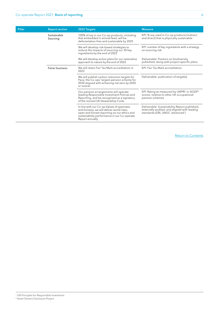| Pillar | <b>Report section</b>   | 2022 Targets                                                                                                                                                                                             | <b>Measure</b>                                                                                                                     |
|--------|-------------------------|----------------------------------------------------------------------------------------------------------------------------------------------------------------------------------------------------------|------------------------------------------------------------------------------------------------------------------------------------|
|        | Sustainable<br>Sourcing | 100% of soy in our Co-op products, including<br>that embedded in animal feed, will be<br>deforestation-free and sustainable by 2025                                                                      | KPI: % soy used in Co-op products (indirect<br>and direct) that is physically sustainable                                          |
|        |                         | We will develop risk-based strategies to<br>reduce the impacts of sourcing our 30 key<br>ingredients by the end of 2022                                                                                  | KPI: number of key ingredients with a strategy<br>on sourcing risk                                                                 |
|        |                         | We will develop action plans for our restorative<br>approach to nature by the end of 2022                                                                                                                | Deliverable: Position on biodiversity<br>published, along with project-specific plans                                              |
|        | <b>Fairer business</b>  | We will retain Fair Tax Mark accreditation in<br>2022                                                                                                                                                    | KPI: Fair Tax Mark accreditation                                                                                                   |
|        |                         | We will publish carbon reduction targets for<br>Pace, the Co-ops' largest pension scheme for<br>2030 aligned with achieving net zero by 2050<br>or sooner                                                | Deliverable: publication of target(s)                                                                                              |
|        |                         | Our pension arrangements will operate<br>leading Responsible Investment Policies and<br>Reporting, and be recognised as a signatory<br>of the revised UK Stewardship Code.                               | KPI: Rating as measured by UNPRI <sup>1</sup> or AODP <sup>2</sup><br>scores, relative to other UK occupational<br>pension schemes |
|        |                         | In line with our Co-op Values of openness<br>and honesty, we will deliver world class,<br>open and honest reporting on our ethics and<br>sustainability performance in our Co-operate<br>Report annually | Deliverable: Sustainability Report published,<br>externally audited, and aligned with leading<br>standards (GRI, UNGC 'advanced')  |

<sup>1</sup> UN Principles for Responsible Investment 2 Asset Owners Disclosure Project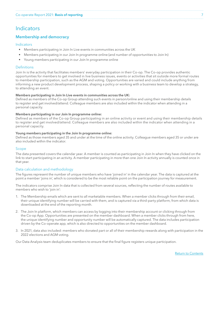## <span id="page-6-0"></span>**Indicators**

### Membership and democracy

### Indicators

- Members participating in Join In Live events in communities across the UK
- Members participating in our Join In programme online (and number of opportunities to Join In)
- Young members participating in our Join In programme online

### Definitions

Join In is the activity that facilitates members' everyday participation in their Co-op. The Co-op provides authentic opportunities for members to get involved in live business issues, events or activities that sit outside more formal routes to membership participation, such as the AGM and voting. Opportunities are varied and could include anything from informing a new product development process, shaping a policy or working with a business team to develop a strategy, to attending an event.

### Members participating in Join In Live events in communities across the UK:

Defined as members of the Co-op Group attending such events in person/online and using their membership details to register and get involved/attend. Colleague members are also included within the indicator when attending in a personal capacity.

### Members participating in our Join In programme online:

Defined as members of the Co-op Group participating in an online activity or event and using their membership details to register and get involved/attend. Colleague members are also included within the indicator when attending in a personal capacity.

#### Young members participating in the Join In programme online:

Defined as those members aged 35 and under at the time of the online activity. Colleague members aged 35 or under are also included within the indicator.

### Scope

The data presented covers the calendar year. A member is counted as participating in Join In when they have clicked on the link to start participating in an activity. A member participating in more than one Join In activity annually is counted once in that year.

### Data calculation and methodology

The figures represent the number of unique members who have 'joined in' in the calendar year. The data is captured at the point a member 'joins in', which is considered to be the most reliable point on the participation journey for measurement.

The indicators comprise Join In data that is collected from several sources, reflecting the number of routes available to members who wish to 'join in':

- 1. The Membership emails which are sent to all marketable members. When a member clicks through from their email, their unique identifying number will be carried with them, and is captured via a third-party platform, from which data is downloaded at the end of the reporting month.
- 2. The Join In platform, which members can access by logging into their membership account or clicking through from the Co-op App. Opportunities are presented on the member dashboard. When a member clicks through from here, the unique identifying number and opportunity number will be automatically captured. The data includes participation driven by the Co-operate app, which is also directed to opportunities on the member dashboard.
- 3. In 2021, data also included: members who donated part or all of their membership rewards along with participation in the 2022 elections and AGM voting.

Our Data Analysis team deduplicates members to ensure that the final figure registers unique participation.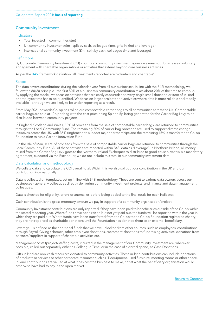### <span id="page-7-0"></span>Community investment

#### Indicators

- Total invested in communities (£m)
- UK community investment (£m split by cash, colleague time, gifts in kind and leverage)
- International community investment (£m split by cash, colleague time and leverage)

### **Definitions**

By Corporate Community Investment (CCI) – our total community investment figure – we mean our businesses' voluntary engagement with charitable organisations or activities that extend beyond core business activities.

As per the [B4Si](https://b4si.net/) framework definition, all investments reported are 'Voluntary and charitable'.

#### Scope

The data covers contributions during the calendar year from all our businesses. In line with the B4Si methodology we follow the 80/20 principle - the first 80% of a business's community contribution takes about 20% of the time to compile. By applying the model, we focus on activities that are easily captured; not every single small donation or item of in-kind or employee time has to be quantified. We focus on larger projects and activities where data is more reliable and readily available – although we are likely to be under-reporting as a result.

From May 2021 onwards Co-op has rolled out compostable carrier bags to all communities across the UK. Compostable carrier bags are sold at 10p per bag with the cost price being 5p and 5p being generated for the Carrier Bag Levy to be distributed between community projects.

In England, Scotland and Wales, 50% of proceeds from the sale of compostable carrier bags, are returned to communities through the Local Community Fund. The remaining 50% of carrier bag proceeds are used to support climate change initiatives across the UK, with 35% ringfenced to support major partnerships and the remaining 15% is transferred to Co-op Foundation to run a Carbon innovation Fund.

On the Isle of Man, 100% of proceeds from the sale of compostable carrier bags are returned to communities through the Local Community Fund. All of these activities are reported within B4Si data as "Leverage". In Northern Ireland, all money raised from the Carrier Bag Levy goes to the Northern Ireland Exchequer to distribute to good causes. As this is a mandatory agreement, executed via the Exchequer, we do not include this total in our community investment data.

### Data calculation and methodology

We collate data and calculate the CCI overall total. Within this we also split out our contribution in the UK and our contribution internationally.

Data is collected on templates, set up in line with B4Si methodology. These are sent to various data owners across our businesses - generally colleagues directly delivering community investment projects, and finance and data management colleagues.

Data is checked for eligibility, errors or anomalies before being added to the final totals for each indicator.

Cash contribution is the gross monetary amount we pay in support of a community organisation/project.

Community Investment contributions are only reported if they have been paid to beneficiaries outside of the Co-op within the stated reporting year. Where funds have been raised but not yet paid out, the funds will be reported within the year in which they are paid out. Where funds have been transferred from the Co-op to the Co-op Foundation registered charity, they are not reported as charitable donations until the Foundation has donated them to an external beneficiary.

Leverage – is defined as the additional funds that we have unlocked from other sources, such as employees' contributions through Payroll Giving schemes, other employee donations, customers' donations to fundraising activities, donations from partners/suppliers in support of charitable activities etc.

Management costs (project/staffing costs) incurred in the management of our Community Investment are, wherever possible, called out separately either as Colleague Time, or in the case of external spend, as Cash Donations.

Gifts in kind are non-cash resources donated to community activities. These in-kind contributions can include donations of products or services or other corporate resources such as IT equipment, used furniture, meeting rooms or other space. In-kind contributions are valued at what it has cost the business to make, not at what the beneficiary organisation would otherwise have had to pay in the open market.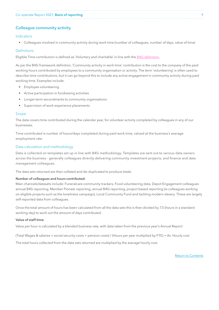### <span id="page-8-0"></span>Colleague community activity

### Indicators

• Colleagues involved in community activity during work time (number of colleagues, number of days, value of time)

### Definitions

Eligible Time contribution is defined as 'Voluntary and charitable' in line with the B4Si definition.

As per the B4Si framework definition, 'Community activity in work time' contribution is the cost to the company of the paid working hours contributed by employees to a community organisation or activity. The term 'volunteering' is often used to describe time contributions, but it can go beyond this to include any active engagement in community activity during paid working time. Examples include:

- Employee volunteering
- Active participation in fundraising activities
- Longer-term secondments to community organisations
- Supervision of work experience placements

#### Scope

The data covers time contributed during the calendar year, for volunteer activity completed by colleagues in any of our businesses.

Time contributed is number of hours/days completed during paid work time, valued at the business's average employment rate.

### Data calculation and methodology

Data is collected on templates set up in line with B4Si methodology. Templates are sent out to various data owners across the business - generally colleagues directly delivering community investment projects, and finance and data management colleagues.

The data sets returned are then collated and de-duplicated to produce totals.

### Number of colleagues and hours contributed:

Main channels/datasets include: Funeralcare community trackers, Food volunteering data, Depot Engagement colleagues annual B4Si reporting, Member Pioneer reporting, annual B4Si reporting, project-based reporting (ie colleagues working on eligible projects such as the loneliness campaign), Local Community Fund and tackling modern slavery. These are largely self-reported data from colleagues.

Once the total amount of hours has been calculated from all the data sets this is then divided by 7.5 (hours in a standard working day) to work out the amount of days contributed.

#### Value of staff time:

Value per hour is calculated by a blended business rate, with data taken from the previous year's Annual Report:

(Total Wages & salaries + social security costs + pension costs) / (Hours per year multiplied by FTE) = Av. Hourly cost

The total hours collected from the data sets returned are multiplied by the average hourly cost.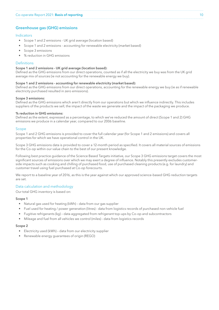### <span id="page-9-0"></span>Greenhouse gas (GHG) emissions

### Indicators

- Scope 1 and 2 emissions UK grid average (location based)
- Scope 1 and 2 emissions accounting for renewable electricity (market based)
- Scope 3 emissions
- % reduction in GHG emissions

#### Definitions

#### Scope 1 and 2 emissions - UK grid average (location based):

Defined as the GHG emissions from our direct operations, counted as if all the electricity we buy was from the UK grid average mix of sources (ie not accounting for the renewable energy we buy).

#### Scope 1 and 2 emissions - accounting for renewable electricity (market based):

Defined as the GHG emissions from our direct operations, accounting for the renewable energy we buy (ie as if renewable electricity purchased resulted in zero emissions).

#### Scope 3 emissions:

Defined as the GHG emissions which aren't directly from our operations but which we influence indirectly. This includes suppliers of the products we sell, the impact of the waste we generate and the impact of the packaging we produce.

#### % reduction in GHG emissions:

Defined as the extent, expressed as a percentage, to which we've reduced the amount of direct (Scope 1 and 2) GHG emissions we produce in a calendar year, compared to our 2006 baseline.

#### Scope

Scope 1 and 2 GHG emissions is provided to cover the full calendar year (for Scope 1 and 2 emissions) and covers all properties for which we have operational control in the UK.

Scope 3 GHG emissions data is provided to cover a 12-month period as specified. It covers all material sources of emissions for the Co-op within our value chain to the best of our present knowledge.

Following best practice guidance of the Science Based Targets initiative, our Scope 3 GHG emissions target covers the most significant sources of emissions over which we may exert a degree of influence. Notably this presently excludes customerside impacts such as cooking and chilling of purchased food, use of purchased cleaning products (e.g. for laundry) and customer travel using fuel purchased at Co-op forecourts.

We report to a baseline year of 2016, as this is the year against which our approved science-based GHG reduction targets are set.

#### Data calculation and methodology

#### Our total GHG inventory is based on:

#### Scope 1

- Natural gas used for heating (kWh) data from our gas supplier
- Fuel used for heating / power generation (litres) data from logistics records of purchased non-vehicle fuel
- Fugitive refrigerants (kg) data aggregated from refrigerant top-ups by Co-op and subcontractors
- Mileage and fuel from all vehicles we control (miles) data from logistics records

#### Scope 2

- Electricity used (kWh) data from our electricity supplier
- Renewable energy guarantees of origin (REGO)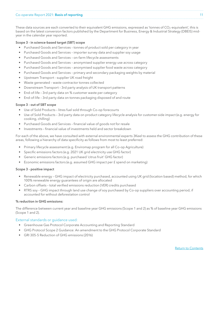These data sources are each converted to their equivalent GHG emissions, expressed as 'tonnes of  $CO_2$ -equivalent', this is based on the latest conversion factors published by the Department for Business, Energy & Industrial Strategy (DBEIS) midyear in the calendar year reported.

### Scope 3 - in science-based target (SBT) scope

- Purchased Goods and Services tonnes of product sold per category in year
- Purchased Goods and Services importer survey data and supplier soy usage
- Purchased Goods and Services on-farm lifecycle assessments
- Purchased Goods and Services anonymised supplier energy use across category
- Purchased Goods and Services anonymised supplier food waste across category
- Purchased Goods and Services primary and secondary packaging weights by material
- Upstream Transport supplier UK road freight
- Waste generated waste contractor tonnes collected
- Downstream Transport 3rd party analysis of UK transport patterns
- End-of-life 3rd party data on % customer waste per category
- End-of-life 3rd party data on tonnes packaging disposed of and route

### Scope 3 - out of SBT scope

- Use of Sold Products litres fuel sold through Co-op forecourts
- Use of Sold Products 3rd party data on product category lifecycle analysis for customer-side impact (e.g. energy for cooking, chilling)
- Purchased Goods and Services financial value of goods not for resale
- Investments financial value of investments held and sector breakdown

For each of the above, we have consulted with external environmental experts 3Keel to assess the GHG contribution of these areas, following a hierarchy of data specificity as follows from most to least preferred:

- Primary lifecycle assessment (e.g. Enviromap program for all Co-op Agriculture)
- Specific emissions factors (e.g. 2021 UK grid electricity use GHG factor)
- Generic emissions factors (e.g. purchased 'citrus fruit' GHG factor)
- Economic emissions factors (e.g. assumed GHG impact per £ spend on marketing)

### Scope 3 - positive impact

- Renewable energy GHG impact of electricity purchased, accounted using UK grid (location based) method, for which 100% renewable energy guarantees of origin are allocated
- Carbon offsets total verified emissions reduction (VER) credits purchased
- RTRS soy GHG impact through land use change of soy purchased by Co-op suppliers over accounting period, if accounted for without deforestation control

### % reduction in GHG emissions:

The difference between current year and baseline year GHG emissions (Scope 1 and 2) as % of baseline year GHG emissions (Scope 1 and 2).

### External standards or guidance used:

- Greenhouse Gas Protocol Corporate Accounting and Reporting Standard
- GHG Protocol Scope 2 Guidance: An amendment to the GHG Protocol Corporate Standard
- GRI 305-5 Reduction of GHG emissions (2016)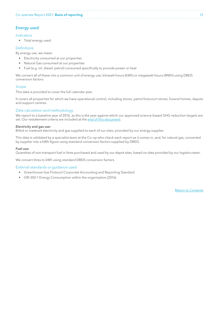### <span id="page-11-0"></span>Energy used

### Indicators

• Total energy used

### **Definitions**

By energy use, we mean:

- Electricity consumed at our properties
- Natural Gas consumed at our properties
- Fuel (e.g. oil, diesel, petrol) consumed specifically to provide power or heat

We convert all of these into a common unit of energy use; kilowatt-hours (kWh) or megawatt-hours (MWh) using DBEIS conversion factors.

### Scope

This data is provided to cover the full calendar year.

It covers all properties for which we have operational control, including stores, petrol forecourt stores, funeral homes, depots and support centres.

### Data calculation and methodology

We report to a baseline year of 2016, as this is the year against which our approved science-based GHG reduction targets are set. Our restatement criteria are included at the [end of this document](#page-33-0).

### Electricity and gas use:

Billed or metered electricity and gas supplied to each of our sites, provided by our energy supplier.

This data is validated by a specialist team at the Co-op who check each report as it comes in, and, for natural gas, converted by supplier into a kWh figure using standard conversion factors supplied by DBEIS.

#### Fuel use:

Quantities of non-transport fuel in litres purchased and used by our depot sites, based on data provided by our logistics team.

We convert litres to kWh using standard DBEIS conversion factors.

### External standards or guidance used:

- Greenhouse Gas Protocol Corporate Accounting and Reporting Standard
- GRI 302-1 Energy Consumption within the organisation (2016)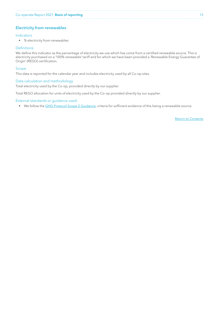### <span id="page-12-0"></span>Electricity from renewables

### Indicators

• % electricity from renewables

### **Definitions**

We define this indicator as the percentage of electricity we use which has come from a certified renewable source. This is electricity purchased on a '100% renewable' tariff and for which we have been provided a 'Renewable Energy Guarantee of Origin' (REGO) certification.

#### Scope

This data is reported for the calendar year and includes electricity used by all Co-op sites.

### Data calculation and methodology

Total electricity used by the Co-op, provided directly by our supplier.

Total REGO allocation for units of electricity used by the Co-op provided directly by our supplier.

#### External standards or guidance used:

• We follow the [GHG Protocol Scope 2 Guidance](https://ghgprotocol.org/scope_2_guidance), criteria for sufficient evidence of this being a renewable source.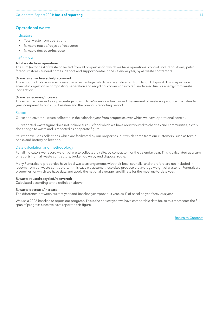### <span id="page-13-0"></span>Operational waste

#### Indicators

- Total waste from operations
- % waste reused/recycled/recovered
- % waste decrease/increase

### Definitions

### Total waste from operations:

The sum (in tonnes) of waste collected from all properties for which we have operational control, including stores, petrol forecourt stores, funeral homes, depots and support centre in the calendar year, by all waste contractors.

#### % waste reused/recycled/recovered:

The amount of total waste, expressed as a percentage, which has been diverted from landfill disposal. This may include anaerobic digestion or composting, separation and recycling, conversion into refuse-derived fuel, or energy-from-waste incineration.

#### % waste decrease/increase:

The extent, expressed as a percentage, to which we've reduced/increased the amount of waste we produce in a calendar year, compared to our 2006 baseline and the previous reporting period.

#### Scope

Our scope covers all waste collected in the calendar year from properties over which we have operational control.

Our reported waste figure does not include surplus food which we have redistributed to charities and communities, as this does not go to waste and is reported as a separate figure.

It further excludes collections which are facilitated by our properties, but which come from our customers, such as textile banks and battery collections.

#### Data calculation and methodology

For all indicators we record weight of waste collected by site, by contractor, for the calendar year. This is calculated as a sum of reports from all waste contractors, broken down by end disposal route.

Many Funeralcare properties have local waste arrangements with their local councils, and therefore are not included in reports from our waste contractors. In this case we assume these sites produce the average weight of waste for Funeralcare properties for which we have data and apply the national average landfill rate for the most up-to-date year.

#### % waste reused/recycled/recovered:

Calculated according to the definition above.

#### % waste decrease/increase:

The difference between current year and baseline year/previous year, as % of baseline year/previous year.

We use a 2006 baseline to report our progress. This is the earliest year we have comparable data for, so this represents the full span of progress since we have reported this figure.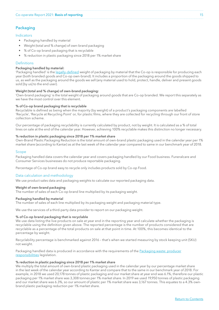### <span id="page-14-0"></span>Packaging

### Indicators

- Packaging handled by material
- Weight (total and % change) of own-brand packaging
- % of Co-op brand packaging that is recyclable
- % reduction in plastic packaging since 2018 per 1% market share

#### **Definitions**

#### Packaging handled by material:

'Packaging handled' is the [legally-defined](https://www.gov.uk/guidance/packaging-producer-responsibilities) weight of packaging by material that the Co-op is responsible for producing each year (both branded goods and Co-op own-brand). It includes a proportion of the packaging around the goods shipped to us, as well as the packaging around the goods we sell (any material used to hold, protect, handle, deliver and present goods sold [by us] to the end user).

### Weight (total and % change) of own-brand packaging:

'Own-brand packaging' is the total weight of packaging around goods that are Co-op branded. We report this separately as we have the most control over this element.

#### % of Co-op brand packaging that is recyclable

Recyclable is defined as being when the majority (by weight) of a product's packaging components are labelled 'Recycle', 'Recycle at Recycling Point' or, for plastic films, where they are collected for recycling through our front of store collection scheme.

Our percentage of packaging recyclability is currently calculated by product, not by weight. It is calculated as a % of total lines on sale at the end of the calendar year. However, achieving 100% recyclable makes this distinction no longer necessary.

#### % reduction in plastic packaging since 2018 per 1% market share

Own-Brand Plastic Packaging Reduction is the total amount of own-brand plastic packaging used in the calendar year per 1% market share (according to Kantar) as at the last week of the calendar year compared to same in our benchmark year of 2018.

#### Scope

Packaging handled data covers the calendar year and covers packaging handled by our Food business. Funeralcare and Consumer Services businesses do not produce reportable packaging.

Percentage of Co-op brand easy to recycle only includes products sold by Co-op Food.

#### Data calculation and methodology

We use product sales data and packaging weights to calculate our reported packaging data.

#### Weight of own-brand packaging

The number of sales of each Co-op brand line multiplied by its packaging weight.

#### Packaging handled by material

The number of sales of each line multiplied by its packaging weight and packaging material type.

We use the services of a third-party data provider to report on our packaging weight.

#### % of Co-op brand packaging that is recyclable

We use data listing the live products on sale at year end in the reporting year and calculate whether the packaging is recyclable using the definition given above. The reported percentage is the number of products considered that are recyclable as a percentage of the total products on sale at that point in time. At 100%, this becomes identical to the percentage by weight.

Recyclability percentage is benchmarked against 2016 – that's when we started measuring by stock keeping unit (SKU) not weight.

Packaging handled data is produced in accordance with the requirements of the [Packaging waste: producer](https://www.gov.uk/guidance/packaging-producer-responsibilities) [responsibilities](https://www.gov.uk/guidance/packaging-producer-responsibilities) legislation.

#### % reduction in plastic packaging since 2018 per 1% market share

We multiply the total amount of own-brand plastic packaging used in the calendar year by our percentage market share in the last week of the calendar year according to Kantar and compare that to the same in our benchmark year of 2018. For example, in 2018 we used 20,178 tonnes of plastic packaging and our market share at year end was 6.1%, therefore our plastic packaging per 1% market share was 3,308 tonnes per 1% market share. In 2019 we used 19,950 tonnes of plastic packaging and our market share was 6.3%, so our amount of plastic per 1% market share was 3,167 tonnes. This equates to a 4.3% ownbrand plastic packaging reduction per 1% market share.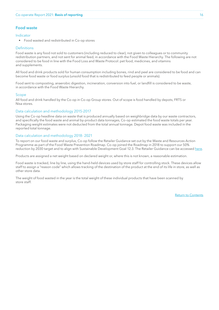### <span id="page-15-0"></span>Food waste

### Indicator

• Food wasted and redistributed in Co-op stores

#### **Definitions**

Food waste is any food not sold to customers (including reduced to clear), not given to colleagues or to community redistribution partners, and not sent for animal feed, in accordance with the Food Waste Hierarchy. The following are not considered to be food in line with the Food Loss and Waste Protocol: pet food, medicines, and vitamins and supplements.

All food and drink products sold for human consumption including bones, rind and peel are considered to be food and can become food waste or food surplus (unsold food that is redistributed to feed people or animals).

Food sent to composting, anaerobic digestion, incineration, conversion into fuel, or landfill is considered to be waste, in accordance with the Food Waste Hierarchy.

#### Scope

All food and drink handled by the Co-op in Co-op Group stores. Out of scope is food handled by depots, FRTS or Nisa stores.

### Data calculation and methodology 2015-2017

Using the Co-op headline data on waste that is produced annually based on weighbridge data by our waste contractors, and specifically the food waste and animal by-product data tonnages, Co-op estimated the food waste totals per year. Packaging weight estimates were not deducted from the total annual tonnage. Depot food waste was included in the reported total tonnage.

#### Data calculation and methodology 2018- 2021

To report on our food waste and surplus, Co-op follow the Retailer Guidance set out by the Waste and Resources Action Programme as part of the Food Waste Prevention Roadmap. Co-op joined the Roadmap in 2018 to support our 50% reduction by 2030 target and to align with Sustainable Development Goal 12.3. The Retailer Guidance can be accessed [here](https://wrap.org.uk/resources/guide/food-retail-operations).

Products are assigned a net weight based on declared weight or, where this is not known, a reasonable estimation.

Food waste is tracked, line by line, using the hand-held devices used by store staff for controlling stock. These devices allow staff to assign a "reason code" which allows tracking of the destination of the product at the end of its life in store, as well as other store data.

The weight of food wasted in the year is the total weight of these individual products that have been scanned by store staff.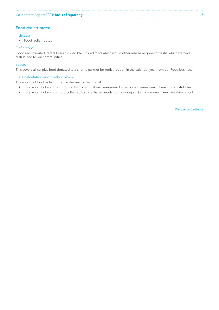### <span id="page-16-0"></span>Food redistributed

### Indicator

• Food redistributed

### **Definitions**

'Food redistributed' refers to surplus, edible, unsold food which would otherwise have gone to waste, which we have distributed to our communities.

### Scope

This covers all surplus food donated to a charity partner for redistribution in the calendar year from our Food business.

### Data calculation and methodology

The weight of food redistributed in the year is the total of:

- Total weight of surplus food directly from our stores, measured by barcode scanners each time it is redistributed
- Total weight of surplus food collected by Fareshare (largely from our depots) from annual Fareshare data report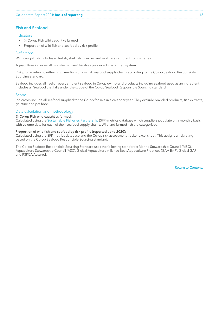### <span id="page-17-0"></span>Fish and Seafood

### Indicators

- % Co-op Fish wild caught vs farmed
- Proportion of wild fish and seafood by risk profile

#### **Definitions**

Wild caught fish includes all finfish, shellfish, bivalves and molluscs captured from fisheries.

Aquaculture includes all fish, shellfish and bivalves produced in a farmed system.

Risk profile refers to either high, medium or low risk seafood supply chains according to the Co-op Seafood Responsible Sourcing standard.

Seafood includes all fresh, frozen, ambient seafood in Co-op own-brand products including seafood used as an ingredient. Includes all Seafood that falls under the scope of the Co-op Seafood Responsible Sourcing standard.

#### Scope

Indicators include all seafood supplied to the Co-op for sale in a calendar year. They exclude branded products, fish extracts, gelatine and pet food.

#### Data calculation and methodology

#### % Co-op Fish wild caught vs farmed:

Calculated using the [Sustainable Fisheries Partnership](https://www.sustainablefish.org/) (SFP) metrics database which suppliers populate on a monthly basis with volume data for each of their seafood supply chains. Wild and farmed fish are categorised.

#### Proportion of wild fish and seafood by risk profile (reported up to 2020):

Calculated using the SFP metrics database and the Co-op risk assessment tracker excel sheet. This assigns a risk rating based on the Co-op Seafood Responsible Sourcing standard.

The Co-op Seafood Responsible Sourcing Standard uses the following standards: Marine Stewardship Council (MSC), Aquaculture Stewardship Council (ASC), Global Aquaculture Alliance Best Aquaculture Practices (GAA BAP), Global GAP and RSPCA Assured.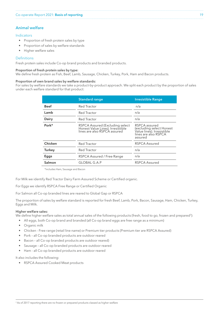### <span id="page-18-0"></span>Animal welfare

### Indicators

- Proportion of fresh protein sales by type
- Proportion of sales by welfare standards
- Higher welfare sales

### **Definitions**

Fresh protein sales include Co-op brand products and branded products.

### Proportion of fresh protein sales by type:

We define fresh protein as Fish, Beef, Lamb, Sausage, Chicken, Turkey, Pork, Ham and Bacon products.

#### Proportion of own brand sales by welfare standards:

For sales by welfare standards we take a product-by-product approach. We split each product by the proportion of sales under each welfare standard for that product:

|             | <b>Standard range</b>                                                                                | <b>Irresistible Range</b>                                                                                  |
|-------------|------------------------------------------------------------------------------------------------------|------------------------------------------------------------------------------------------------------------|
| <b>Beef</b> | Red Tractor                                                                                          | n/a                                                                                                        |
| Lamb        | Red Tractor                                                                                          | n/a                                                                                                        |
| Dairy       | Red Tractor                                                                                          | n/a                                                                                                        |
| Pork*       | RSPCA Assured (Excluding select<br>Honest Value Lines). Irresistible<br>lines are also RSPCA assured | RSPCA assured<br>(excluding select Honest<br>Value lines). Irresistible<br>lines are also RSPCA<br>assured |
| Chicken     | Red Tractor                                                                                          | RSPCA Assured                                                                                              |
| Turkey      | Red Tractor                                                                                          | n/a                                                                                                        |
| Eggs        | RSPCA Assured / Free Range                                                                           | n/a                                                                                                        |
| Salmon      | GLOBAL G.A.P                                                                                         | RSPCA Assured                                                                                              |

\*includes Ham, Sausage and Bacon

For Milk we identify Red Tractor Dairy Farm Assured Scheme or Certified organic.

For Eggs we identify RSPCA Free Range or Certified Organic

For Salmon all Co-op branded lines are reared to Global Gap or RSPCA

The proportion of sales by welfare standard is reported for fresh Beef, Lamb, Pork, Bacon, Sausage, Ham, Chicken, Turkey, Eggs and Milk.

### Higher welfare sales:

We define higher welfare sales as total annual sales of the following products (fresh, food to go, frozen and prepared3):

- All eggs, both Co-op brand and branded (all Co-op brand eggs are free range as a minimum)
- Organic milk
- Chicken Free range (retail line name) or Premium tier products (Premium tier are RSPCA Assured)
- Pork all Co-op branded products are outdoor reared
- Bacon all Co-op branded products are outdoor reared)
- Sausage all Co-op branded products are outdoor reared
- Ham all Co-op branded products are outdoor reared

It also includes the following:

• RSPCA Assured Cooked Meat products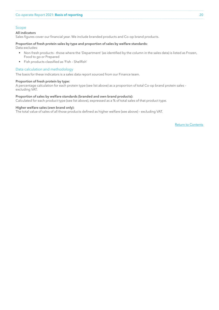### Scope

#### All indicators

Sales figures cover our financial year. We include branded products and Co-op brand products.

#### Proportion of fresh protein sales by type and proportion of sales by welfare standards:

Data excludes:

- Non-fresh products those where the 'Department' (as identified by the column in the sales data) is listed as Frozen, Food to go or Prepared
- Fish products classified as 'Fish Shellfish'

#### Data calculation and methodology

The basis for these indicators is a sales data report sourced from our Finance team.

#### Proportion of fresh protein by type:

A percentage calculation for each protein type (see list above) as a proportion of total Co-op brand protein sales – excluding VAT.

#### Proportion of sales by welfare standards (branded and own brand products):

Calculated for each product type (see list above), expressed as a % of total sales of that product type.

#### Higher welfare sales (own brand only):

The total value of sales of all those products defined as higher welfare (see above) – excluding VAT.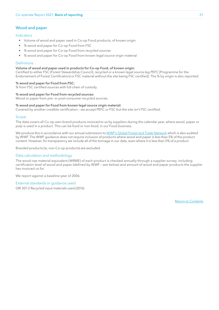### <span id="page-20-0"></span>Wood and paper

### Indicators

- Volume of wood and paper used in Co-op Food products, of known origin
- % wood and paper for Co-op Food from FSC
- % wood and paper for Co-op Food from recycled sources
- % wood and paper for Co-op Food from known legal source virgin material

#### **Definitions**

### Volume of wood and paper used in products for Co-op Food, of known origin:

Certified to either FSC (Forest Stewardship Council), recycled or a known legal source (eg PEFC [Programme for the Endorsement of Forest Certification] or FSC material without the site being FSC certified). The % by origin is also reported:

#### % wood and paper for Food from FSC:

% from FSC certified sources with full chain of custody.

#### % wood and paper for Food from recycled sources:

Wood or paper from pre- or post-consumer recycled sources.

#### % wood and paper for Food from known legal source virgin material:

Covered by another credible certification – we accept PEFC or FSC but the site isn't FSC certified.

#### Scope

The data covers all Co-op own-brand products invoiced to us by suppliers during the calendar year, where wood, paper or pulp is used in a product. This can be food or non-food, in our Food business.

We produce this in accordance with our annual submission to [WWF's Global Forest and Trade Network](https://www.wwf.org.uk/what-we-do/projects/global-forest-and-trade-network-uk) which is also audited by WWF. The WWF guidance does not require inclusion of products where wood and paper is less than 5% of the product content. However, for transparency we include all of the tonnage in our data, even where it is less than 5% of a product.

Branded products (ie, non-Co-op products) are excluded.

#### Data calculation and methodology

The wood raw material equivalent (WRME) of each product is checked annually through a supplier survey, including certification level of wood and paper (defined by WWF – see below) and amount of wood and paper products the supplier has invoiced us for.

We report against a baseline year of 2006.

### External standards or guidance used:

GRI 301-2 Recycled input materials used (2016)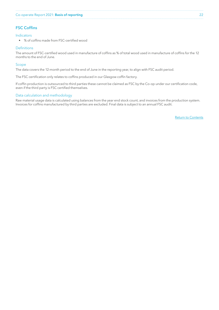### <span id="page-21-0"></span>FSC Coffins

### Indicators

• % of coffins made from FSC-certified wood

#### **Definitions**

The amount of FSC-certified wood used in manufacture of coffins as % of total wood used in manufacture of coffins for the 12 months to the end of June.

### Scope

The data covers the 12-month period to the end of June in the reporting year, to align with FSC audit period.

The FSC certification only relates to coffins produced in our Glasgow coffin factory.

If coffin production is outsourced to third parties these cannot be claimed as FSC by the Co-op under our certification code, even if the third party is FSC certified themselves.

### Data calculation and methodology

Raw material usage data is calculated using balances from the year end stock count, and invoices from the production system. Invoices for coffins manufactured by third parties are excluded. Final data is subject to an annual FSC audit.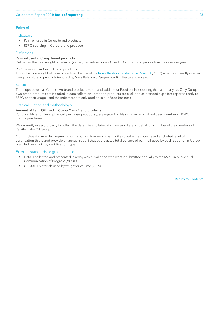### <span id="page-22-0"></span>Palm oil

### Indicators

- Palm oil used in Co-op brand products
- RSPO sourcing in Co-op brand products

### **Definitions**

### Palm oil used in Co-op brand products:

Defined as the total weight of palm oil (kernel, derivatives, oil etc) used in Co-op brand products in the calendar year.

#### RSPO sourcing in Co-op brand products:

This is the total weight of palm oil certified by one of the [Roundtable on Sustainable Palm Oil](https://rspo.org/about) (RSPO) schemes, directly used in Co-op own-brand products (ie, Credits, Mass Balance or Segregated) in the calendar year.

#### Scope

The scope covers all Co-op own-brand products made and sold to our Food business during the calendar year. Only Co-op own brand products are included in data collection - branded products are excluded as branded suppliers report directly to RSPO on their usage - and the indicators are only applied in our Food business.

### Data calculation and methodology

#### Amount of Palm Oil used in Co-op Own-Brand products:

RSPO certification level physically in those products (Segregated or Mass Balance), or if not used number of RSPO credits purchased.

We currently use a 3rd party to collect the data. They collate data from suppliers on behalf of a number of the members of Retailer Palm Oil Group.

Our third-party provider request information on how much palm oil a supplier has purchased and what level of certification this is and provide an annual report that aggregates total volume of palm oil used by each supplier in Co-op branded products by certification type.

### External standards or guidance used:

- Data is collected and presented in a way which is aligned with what is submitted annually to the RSPO in our Annual Communication of Progress (ACOP)
- GRI 301-1 Materials used by weight or volume (2016)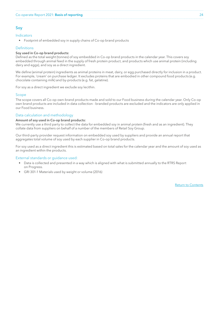### <span id="page-23-0"></span>Soy

### Indicators

• Footprint of embedded soy in supply chains of Co-op brand products

### **Definitions**

#### Soy used in Co-op brand products:

Defined as the total weight (tonnes) of soy embedded in Co-op brand products in the calendar year. This covers soy embedded through animal feed in the supply of fresh protein product, and products which use animal protein (including dairy and eggs), and soy as a direct ingredient.

We define (animal protein) ingredients as animal proteins in meat, dairy, or egg purchased directly for inclusion in a product. For example, 'cream' on purchase ledger. It excludes proteins that are embodied in other compound food products (e.g. chocolate containing milk) and by-products (e.g. fat, gelatine).

For soy as a direct ingredient we exclude soy lecithin.

### Scope

The scope covers all Co-op own-brand products made and sold to our Food business during the calendar year. Only Co-op own brand products are included in data collection - branded products are excluded and the indicators are only applied in our Food business.

### Data calculation and methodology

#### Amount of soy used in Co-op brand products:

We currently use a third party to collect the data for embedded soy in animal protein (fresh and as an ingredient). They collate data from suppliers on behalf of a number of the members of Retail Soy Group.

Our third-party provider request information on embedded soy used by suppliers and provide an annual report that aggregates total volume of soy used by each supplier in Co-op brand products.

For soy used as a direct ingredient this is estimated based on total sales for the calendar year and the amount of soy used as an ingredient within the products.

### External standards or guidance used:

- Data is collected and presented in a way which is aligned with what is submitted annually to the RTRS Report on Progress.
- GRI 301-1 Materials used by weight or volume (2016)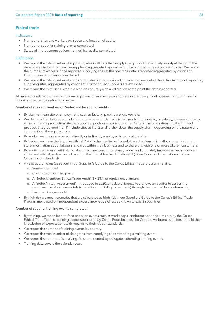### <span id="page-24-0"></span>Ethical trade

### Indicators

- Number of sites and workers on Sedex and location of audits
- Number of supplier training events completed
- Status of improvement actions from ethical audits completed

### Definitions

- We report the total number of supplying sites in all tiers that supply Co-op Food that actively supply at the point the data is reported and remain live suppliers, aggregated by continent. Discontinued suppliers are excluded. We report the number of workers in the reported supplying sites at the point the data is reported aggregated by continent. Discontinued suppliers are excluded.
- We report the total number of audits completed in the previous two calendar years at all the active (at time of reporting) supplying sites, aggregated by continent. Discontinued suppliers are excluded.
- We report the % of Tier 1 sites in a high-risk country with a valid audit at the point the data is reported.

All indicators relate to Co-op own brand suppliers of finished goods for sale in the Co-op food business only. For specific indicators we use the definitions below:

#### Number of sites and workers on Sedex and location of audits:

- By site, we mean site of employment, such as factory, packhouse, grower, etc.
- We define a Tier 1 site as a production site where goods are finished, ready for supply to, or sale by, the end company. A Tier 2 site is a production site that supplies goods or materials to a Tier 1 site for incorporation into the finished product. Sites 'beyond Tier 1' include sites at Tier 2 and further down the supply chain, depending on the nature and complexity of the supply chain.
- By worker, we mean any person directly or indirectly employed to work at that site.
- By Sedex, we mean the Supplier Ethical Data Exchange (Sedex), a web-based system which allows organisations to store information about labour standards within their business and to share this with one or more of their customers.
- By audits, we mean an ethical/social audit to measure, understand, report and ultimately improve an organisation's social and ethical performance based on the Ethical Trading Initiative (ETI) Base Code and International Labour Organisation standards.
- A valid audit means (as set out in our Supplier's Guide to the Co-op Ethical Trade programme) it is:
	- o Semi-announced
	- o Conducted by a third party
	- o A 'Sedex Members Ethical Trade Audit' (SMETA) or equivalent standard
	- o A 'Sedex Virtual Assessment'- introduced in 2020, this due diligence tool allows an auditor to assess the performance of a site remotely (where it cannot take place on site) through the use of video conferencing
	- o Less than two years old
- By high risk we mean countries that are stipulated as high risk in our Suppliers Guide to the Co-op's Ethical Trade Programme, based on independent expert knowledge of issues known to exist in countries.

#### Number of supplier training events completed:

- By training, we mean face-to-face or online events such as workshops, conferences and forums run by the Co-op Ethical Trade Team or training events sponsored by Co-op Food business for Co-op own-brand suppliers to build their knowledge of expectations with regards to their labour standards.
- We report the number of training events by country.
- We report the total number of delegates from supplying sites attending a training event.
- We report the number of supplying sites represented by delegates attending training events.
- Training data covers the calendar year.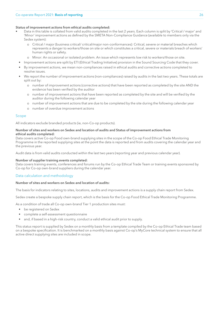#### Status of improvement actions from ethical audits completed:

- Data in this table is collated from valid audits completed in the last 2 years. Each column is split by 'Critical / major' and 'Minor' improvement actions as defined by the SMETA Non-Compliance Guidance (available to members only via the Sedex system):
	- o Critical / major (business critical/ critical/major non-conformances): Critical, severe or material breaches which represents a danger to workers/those on site or which constitutes a critical, severe or materials breach of workers' human rights or safety.
	- o Minor: An occasional or isolated problem. An issue which represents low risk to workers/those on site.
	- Improvement actions are split by ETI (Ethical Trading Initiative) provision in the Sound Sourcing Code that they cover.
- By improvement actions, we mean non-compliances raised in ethical audits and corrective actions completed to resolve issues.
- We report the number of improvement actions (non-compliances) raised by audits in the last two years. These totals are split out by:
	- o number of improvement actions (corrective actions) that have been reported as completed by the site AND the evidence has been verified by the auditor
	- o number of improvement actions that have been reported as completed by the site and will be verified by the auditor during the following calendar year
	- o number of improvement actions that are due to be completed by the site during the following calendar year
	- o number of overdue improvement actions

#### Scope

All indicators exclude branded products (ie, non-Co-op products).

### Number of sites and workers on Sedex and location of audits and Status of improvement actions from ethical audits completed:

Data covers active Co-op Food own-brand supplying sites in the scope of the Co-op Food Ethical Trade Monitoring Programme in the reported supplying sites at the point the data is reported and from audits covering the calendar year and the previous year.

Audit data is from valid audits conducted within the last two years (reporting year and previous calendar year).

### Number of supplier training events completed:

Data covers training events, conferences and forums run by the Co-op Ethical Trade Team or training events sponsored by Co-op for Co-op own-brand suppliers during the calendar year.

### Data calculation and methodology

#### Number of sites and workers on Sedex and location of audits:

The basis for indicators relating to sites, locations, audits and improvement actions is a supply chain report from Sedex.

Sedex create a bespoke supply chain report, which is the basis for the Co-op Food Ethical Trade Monitoring Programme.

As a condition of trade all Co-op own-brand Tier 1 production sites must:

- be registered on Sedex
- complete a self-assessment questionnaire
- and, if based in a high-risk country, conduct a valid ethical audit prior to supply.

This status report is supplied by Sedex on a monthly basis from a template compiled by the Co-op Ethical Trade team based on a bespoke specification. It is benchmarked on a monthly basis against Co-op's MyCore technical system to ensure that all active direct supplying sites are included in scope.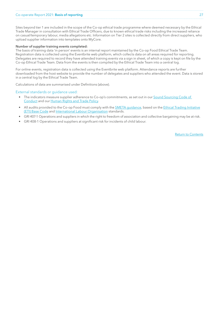### Co-operate Report 2021: Basis of reporting 27

Sites beyond tier 1 are included in the scope of the Co-op ethical trade programme where deemed necessary by the Ethical Trade Manager in consultation with Ethical Trade Officers, due to known ethical trade risks including the increased reliance on casual/temporary labour, media allegations etc. Information on Tier 2 sites is collected directly from direct suppliers, who upload supplier information into templates onto MyCore.

#### Number of supplier training events completed:

The basis of training data 'in person' events is an internal report maintained by the Co-op Food Ethical Trade Team. Registration data is collected using the Eventbrite web platform, which collects data on all areas required for reporting. Delegates are required to record they have attended training events via a sign in sheet, of which a copy is kept on file by the Co-op Ethical Trade Team. Data from the events is then compiled by the Ethical Trade Team into a central log.

For online events, registration data is collected using the Eventbrite web platform. Attendance reports are further downloaded from the host website to provide the number of delegates and suppliers who attended the event. Data is stored in a central log by the Ethical Trade Team.

Calculations of data are summarised under Definitions (above).

#### External standards or guidance used:

- The indicators measure supplier adherence to Co-op's commitments, as set out in our [Sound Sourcing Code of](https://assets.ctfassets.net/5ywmq66472jr/O29bUOmlEaCYWcMcWK4mA/d33047aff16ed42f48f443844a6c720f/Sound_Sourcing_Code_of_Conduct__SSCC__Dec_2017.pdf)  [Conduct](https://assets.ctfassets.net/5ywmq66472jr/O29bUOmlEaCYWcMcWK4mA/d33047aff16ed42f48f443844a6c720f/Sound_Sourcing_Code_of_Conduct__SSCC__Dec_2017.pdf) and our [Human Rights and Trade Policy.](https://www.co-operative.coop/ethics/human-rights-and-trade-policy)
- All audits provided to the Co-op Food must comply with the [SMETA guidance](https://www.sedexglobal.com/smeta-audit/), based on the [Ethical Trading Initiative](https://www.ethicaltrade.org/eti-base-code) [\(ETI\) Base Code](https://www.ethicaltrade.org/eti-base-code) and [International Labour Organisation](http://www.ilo.org/global/lang--en/index.htm) standards.
- GRI 407-1 Operations and suppliers in which the right to freedom of association and collective bargaining may be at risk.
- GRI 408-1 Operations and suppliers at significant risk for incidents of child labour.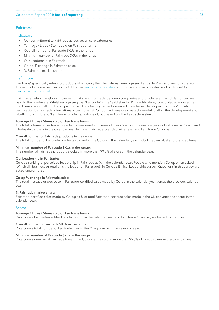# <span id="page-27-0"></span>Fairtrade

### Indicators

- Our commitment to Fairtrade across seven core categories
- Tonnage / Litres / Stems sold on Fairtrade terms
- Overall number of Fairtrade SKUs in the range
- Minimum number of Fairtrade SKUs in the range
- Our Leadership in Fairtrade
- Co-op % change in Fairtrade sales
- % Fairtrade market share

### **Definitions**

'Fairtrade' specifically refers to products which carry the internationally-recognised Fairtrade Mark and versions thereof. These products are certified in the UK by the [Fairtrade Foundation](https://www.fairtrade.org.uk/) and to the standards created and controlled by [Fairtrade International](https://www.fairtrade.net/).

'Fair Trade' refers the global movement that stands for trade between companies and producers in which fair prices are paid to the producers. Whilst recognising that 'Fairtrade' is the 'gold standard' in certification, Co-op also acknowledges that there are a small number of product and product ingredients sourced from 'lesser developed countries' for which certification by Fairtrade International does not exist. Co-op has therefore created a model to allow the development and labelling of own brand 'Fair Trade' products, outside of, but based on, the Fairtrade system.

#### Tonnage / Litres / Stems sold on Fairtrade terms:

The total volume of Fairtrade ingredients measured in Tonnes / Litres / Stems contained via products stocked at Co-op and wholesale partners in the calendar year. Includes Fairtrade-branded wine sales and Fair Trade Charcoal.

#### Overall number of Fairtrade products in the range:

The total number of Fairtrade products stocked in the Co-op in the calendar year. Including own label and branded lines.

#### Minimum number of Fairtrade SKUs in the range:

The number of Fairtrade products stocked in more than 99.5% of stores in the calendar year.

#### Our Leadership in Fairtrade:

Co-op's ranking of perceived leadership in Fairtrade as % in the calendar year. People who mention Co-op when asked 'Which UK business or retailer is the leader on Fairtrade?' in Co-op's Ethical Leadership survey. Questions in this survey are asked unprompted.

#### Co-op % change in Fairtrade sales:

The total increase or decrease in Fairtrade-certified sales made by Co-op in the calendar year versus the previous calendar year.

#### % Fairtrade market share:

Fairtrade-certified sales made by Co-op as % of total Fairtrade-certified sales made in the UK convenience sector in the calendar year.

#### Scope

#### Tonnage / Litres / Stems sold on Fairtrade terms

Data covers Fairtrade-certified products sold in the calendar year and Fair Trade Charcoal, endorsed by Traidcraft.

#### Overall number of Fairtrade SKUs in the range

Data covers total number of Fairtrade lines in the Co-op range in the calendar year.

#### Minimum number of Fairtrade SKUs in the range

Data covers number of Fairtrade lines in the Co-op range sold in more than 99.5% of Co-op stores in the calendar year.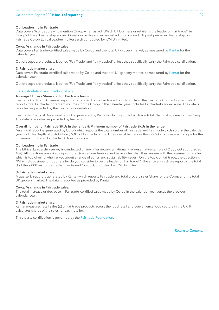#### Our Leadership in Fairtrade

Data covers % of people who mention Co-op when asked 'Which UK business or retailer is the leader on Fairtrade?' in Co-op's Ethical Leadership survey. Questions in this survey are asked unprompted. Highest perceived leadership on Fairtrade Co-op Ethical Leadership Research conducted by ICM Unlimited.

#### Co-op % change in Fairtrade sales

Data covers Fairtrade-certified sales made by Co-op and the total UK grocery market, as measured by [Kantar](https://www.kantar.com) for the calendar year.

Out of scope are products labelled 'Fair Trade' and 'fairly traded' unless they specifically carry the Fairtrade certification.

#### % Fairtrade market share

Data covers Fairtrade-certified sales made by Co-op and the total UK grocery market, as measured by [Kantar](https://www.kantar.com) for the calendar year.

Out of scope are products labelled 'Fair Trade' and 'fairly traded' unless they specifically carry the Fairtrade certification.

#### Data calculation and methodology

#### Tonnage / Litres / Stems sold on Fairtrade terms

Fairtrade Certified: An annual report is generated by the Fairtrade Foundation from the Fairtrade Connect system which reports total Fairtrade ingredient volumes for the Co-op in the calendar year. Includes Fairtrade-branded wine. The data is reported as provided by the Fairtrade Foundation.

Fair Trade Charcoal: An annual report is generated by Rectella which reports Fair Trade total Charcoal volume for the Co-op. The data is reported as provided by Rectella.

#### Overall number of Fairtrade SKUs in the range & Minimum number of Fairtrade SKUs in the range

An annual report is generated by Co-op which reports the total number of Fairtrade and Fair Trade SKUs sold in the calendar year. Includes depth of distribution (DOD) of Fairtrade range. Lines available in more than 99.5% of stores are in scope for the minimum number of Fairtrade SKUs in the range.

#### Our Leadership in Fairtrade

The Ethical Leadership survey is conducted online, interviewing a nationally representative sample of 2,000 GB adults (aged 18+). All questions are asked unprompted (i.e. respondents do not have a checklist, they answer with the business or retailer which is top of mind when asked about a range of ethics and sustainability issues). On the topic of Fairtrade, the question is "Which UK business or food retailer do you consider to be the leader on Fairtrade?". The answer which we report is the total % of the 2,000 respondents that mentioned Co-op. Conducted by ICM Unlimited.

#### % Fairtrade market share

A quarterly report is generated by Kantar which reports Fairtrade and total grocery sales/share for the Co-op and the total UK grocery market. The data is reported as provided by Kantar.

#### Co-op % change in Fairtrade sales:

The total increase or decrease in Fairtrade-certified sales made by Co-op in the calendar year versus the previous calendar year.

#### % Fairtrade market share:

Kantar measures retail sales (£) of Fairtrade products across the food retail and convenience food sectors in the UK. It calculates shares of the sales for each retailer.

Third party certification is governed by the **Fairtrade Foundation**.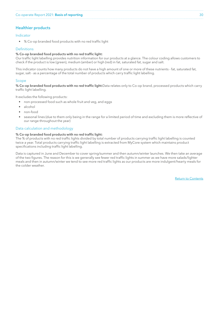### <span id="page-29-0"></span>Healthier products

### Indicator

• % Co-op branded food products with no red traffic light

### **Definitions**

### % Co-op branded food products with no red traffic light:

Our traffic light labelling provides nutrition information for our products at a glance. The colour coding allows customers to check if the product is low (green), medium (amber) or high (red) in fat, saturated fat, sugar and salt.

This indicator counts how many products do not have a high amount of one or more of these nutrients - fat, saturated fat, sugar, salt - as a percentage of the total number of products which carry traffic light labelling.

#### Scope

% Co-op branded food products with no red traffic light:Data relates only to Co-op brand, processed products which carry traffic light labelling.

It excludes the following products:

- non-processed food such as whole fruit and veg, and eggs
- alcohol
- non-food
- seasonal lines (due to them only being in the range for a limited period of time and excluding them is more reflective of our range throughout the year)

#### Data calculation and methodology

### % Co-op branded food products with no red traffic light:

The % of products with no red traffic lights divided by total number of products carrying traffic light labelling is counted twice a year. Total products carrying traffic light labelling is extracted from MyCore system which maintains product specifications including traffic light labelling.

Data is captured in June and December to cover spring/summer and then autumn/winter launches. We then take an average of the two figures. The reason for this is we generally see fewer red traffic lights in summer as we have more salads/lighter meals and then in autumn/winter we tend to see more red traffic lights as our products are more indulgent/hearty meals for the colder weather.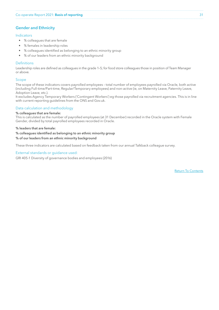### <span id="page-30-0"></span>Gender and Ethnicity

### Indicators

- % colleagues that are female
- % females in leadership roles
- % colleagues identified as belonging to an ethnic minority group
- % of our leaders from an ethnic minority background

#### **Definitions**

Leadership roles are defined as colleagues in the grade 1–5; for food store colleagues those in position of Team Manager or above.

### Scope

The scope of these indicators covers payrolled employees – total number of employees payrolled via Oracle, both active (including Full-time/Part-time, Regular/Temporary employees) and non-active (ie, on Maternity Leave, Paternity Leave, Adoption Leave, etc.).

It excludes Agency Temporary Workers ('Contingent Workers') eg those payrolled via recruitment agencies. This is in line with current reporting guidelines from the ONS and Gov.uk.

### Data calculation and methodology

### % colleagues that are female:

This is calculated as the number of payrolled employees (at 31 December) recorded in the Oracle system with Female Gender, divided by total payrolled employees recorded in Oracle.

#### % leaders that are female:

### % colleagues identified as belonging to an ethnic minority group

#### % of our leaders from an ethnic minority background

These three indicators are calculated based on feedback taken from our annual Talkback colleague survey.

### External standards or quidance used:

GRI 405-1 Diversity of governance bodies and employees (2016)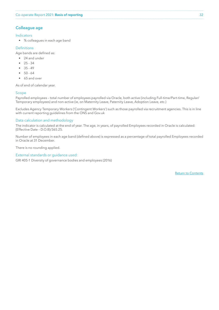### <span id="page-31-0"></span>Colleague age

### Indicators

• % colleagues in each age band

### **Definitions**

Age bands are defined as:

- 24 and under
- $25 34$
- $35 49$
- $50 64$
- 65 and over

As of end of calendar year.

### Scope

Payrolled employees – total number of employees payrolled via Oracle, both active (including Full-time/Part-time, Regular/ Temporary employees) and non-active (ie, on Maternity Leave, Paternity Leave, Adoption Leave, etc.)

Excludes Agency Temporary Workers ('Contingent Workers') such as those payrolled via recruitment agencies. This is in line with current reporting guidelines from the ONS and Gov.uk

### Data calculation and methodology

The indicator is calculated at the end of year. The age, in years, of payrolled Employees recorded in Oracle is calculated: (Effective Date – D.O.B)/365.25.

Number of employees in each age band (defined above) is expressed as a percentage of total payrolled Employees recorded in Oracle at 31 December.

There is no rounding applied.

### External standards or guidance used:

GRI 405-1 Diversity of governance bodies and employees (2016)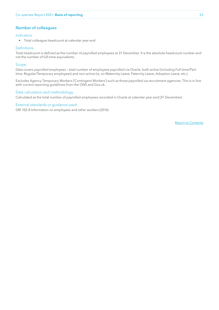### <span id="page-32-0"></span>Number of colleagues

### Indicators

• Total colleague headcount at calendar year end

### **Definitions**

Total headcount is defined as the number of payrolled employees at 31 December. It is the absolute headcount number and not the number of full-time equivalents.

### Scope

Data covers payrolled employees – total number of employees payrolled via Oracle, both active (including Full-time/Parttime, Regular/Temporary employees) and non-active (ie, on Maternity Leave, Paternity Leave, Adoption Leave, etc.).

Excludes Agency Temporary Workers ('Contingent Workers') such as those payrolled via recruitment agencies. This is in line with current reporting guidelines from the ONS and Gov.uk.

### Data calculation and methodology

Calculated as the total number of payrolled employees recorded in Oracle at calendar year end (31 December).

#### External standards or guidance used:

GRI 102-8 Information on employees and other workers (2016)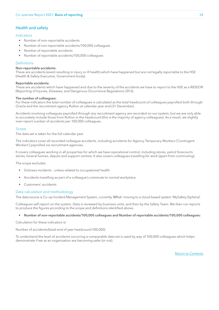### <span id="page-33-0"></span>Health and safety

### Indicators

- Number of non-reportable accidents
- Number of non-reportable accidents/100,000 colleagues
- Number of reportable accidents
- Number of reportable accidents/100,000 colleagues

### **Definitions**

#### Non-reportable accidents:

These are accidents (event resulting in injury or ill health) which have happened but are not legally reportable to the HSE (Health & Safety Executive, Government body).

#### Reportable accidents:

These are accidents which have happened and due to the severity of the accidents we have to report to the HSE as a RIDDOR (Reporting of Injuries, Diseases, and Dangerous Occurrence Regulations 2013).

#### The number of colleagues:

For these indicators the total number of colleagues is calculated as the total headcount of colleagues payrolled both through Oracle and the recruitment agency Rullion at calendar year end (31 December).

Accidents involving colleagues payrolled through any recruitment agency are recorded on our system, but we are only able to accurately include those from Rullion in the headcount (this is the majority of agency colleagues). As a result, we slightly over-report number of accidents per 100,000 colleagues.

### Scope

The data set is taken for the full calendar year.

The indicators cover all recorded colleague accidents, including accidents for Agency Temporary Workers ('Contingent Workers') payrolled via recruitment agencies.

It covers colleagues working in all properties for which we have operational control, including stores, petrol forecourts stores, funeral homes, depots and support centres. It also covers colleagues travelling for work (apart from commuting).

The scope excludes:

- Sickness incidents unless related to occupational health
- Accidents travelling as part of a colleague's commute to normal workplace
- Customers' accidents

### Data calculation and methodology

The data source is Co-op Incident Management System, currently '@Risk' moving to a cloud-based system 'MySafety (Sphera)'.

Colleagues self-report on the system. Data is reviewed by business units, and then by the Safety Team. We then run reports to produce the figures according to the scope and definitions identified above.

### • Number of non-reportable accidents/100,000 colleagues and Number of reportable accidents/100,000 colleagues:

Calculation for these indicators is:

Number of accidents/(total end of year headcount/100,000)

To understand the level of accidents occurring a comparable data set is used by way of 100,000 colleagues which helps demonstrate if we as an organisation are becoming safer (or not).